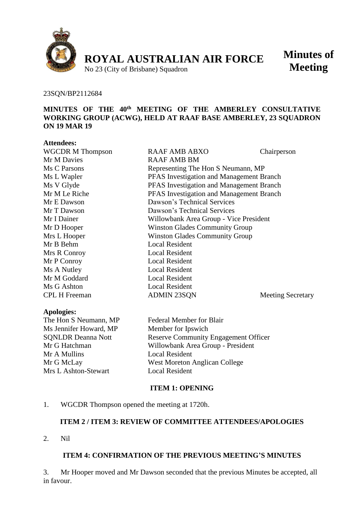

**ROYAL AUSTRALIAN AIR FORCE**

No 23 (City of Brisbane) Squadron

**Minutes of Meeting**

## 23SQN/BP2112684

## **MINUTES OF THE 40th MEETING OF THE AMBERLEY CONSULTATIVE WORKING GROUP (ACWG), HELD AT RAAF BASE AMBERLEY, 23 SQUADRON ON 19 MAR 19**

#### **Attendees:**

| <b>WGCDR M Thompson</b> | RAAF AMB ABXO                            | Chairperson              |
|-------------------------|------------------------------------------|--------------------------|
| Mr M Davies             | RAAF AMB BM                              |                          |
| Ms C Parsons            | Representing The Hon S Neumann, MP       |                          |
| Ms L Wapler             | PFAS Investigation and Management Branch |                          |
| Ms V Glyde              | PFAS Investigation and Management Branch |                          |
| Mr M Le Riche           | PFAS Investigation and Management Branch |                          |
| Mr E Dawson             | Dawson's Technical Services              |                          |
| Mr T Dawson             | Dawson's Technical Services              |                          |
| Mr I Dainer             | Willowbank Area Group - Vice President   |                          |
| Mr D Hooper             | <b>Winston Glades Community Group</b>    |                          |
| Mrs L Hooper            | <b>Winston Glades Community Group</b>    |                          |
| Mr B Behm               | <b>Local Resident</b>                    |                          |
| Mrs R Conroy            | <b>Local Resident</b>                    |                          |
| Mr P Conroy             | <b>Local Resident</b>                    |                          |
| Ms A Nutley             | <b>Local Resident</b>                    |                          |
| Mr M Goddard            | <b>Local Resident</b>                    |                          |
| Ms G Ashton             | <b>Local Resident</b>                    |                          |
| <b>CPL H</b> Freeman    | <b>ADMIN 23SQN</b>                       | <b>Meeting Secretary</b> |
|                         |                                          |                          |

#### **Apologies:**

Ms Jennifer Howard, MP Member for Ipswich Mr A Mullins Local Resident Mrs L Ashton-Stewart Local Resident

The Hon S Neumann, MP Federal Member for Blair SQNLDR Deanna Nott Reserve Community Engagement Officer Mr G Hatchman Willowbank Area Group - President Mr G McLay West Moreton Anglican College

# **ITEM 1: OPENING**

## 1. WGCDR Thompson opened the meeting at 1720h.

# **ITEM 2 / ITEM 3: REVIEW OF COMMITTEE ATTENDEES/APOLOGIES**

2. Nil

#### **ITEM 4: CONFIRMATION OF THE PREVIOUS MEETING'S MINUTES**

3. Mr Hooper moved and Mr Dawson seconded that the previous Minutes be accepted, all in favour.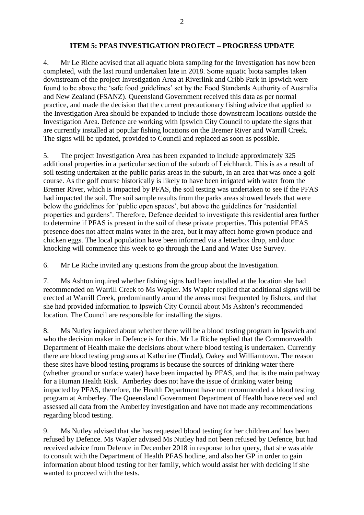#### **ITEM 5: PFAS INVESTIGATION PROJECT – PROGRESS UPDATE**

4. Mr Le Riche advised that all aquatic biota sampling for the Investigation has now been completed, with the last round undertaken late in 2018. Some aquatic biota samples taken downstream of the project Investigation Area at Riverlink and Cribb Park in Ipswich were found to be above the 'safe food guidelines' set by the Food Standards Authority of Australia and New Zealand (FSANZ). Queensland Government received this data as per normal practice, and made the decision that the current precautionary fishing advice that applied to the Investigation Area should be expanded to include those downstream locations outside the Investigation Area. Defence are working with Ipswich City Council to update the signs that are currently installed at popular fishing locations on the Bremer River and Warrill Creek. The signs will be updated, provided to Council and replaced as soon as possible.

5. The project Investigation Area has been expanded to include approximately 325 additional properties in a particular section of the suburb of Leichhardt. This is as a result of soil testing undertaken at the public parks areas in the suburb, in an area that was once a golf course. As the golf course historically is likely to have been irrigated with water from the Bremer River, which is impacted by PFAS, the soil testing was undertaken to see if the PFAS had impacted the soil. The soil sample results from the parks areas showed levels that were below the guidelines for 'public open spaces', but above the guidelines for 'residential properties and gardens'. Therefore, Defence decided to investigate this residential area further to determine if PFAS is present in the soil of these private properties. This potential PFAS presence does not affect mains water in the area, but it may affect home grown produce and chicken eggs. The local population have been informed via a letterbox drop, and door knocking will commence this week to go through the Land and Water Use Survey.

6. Mr Le Riche invited any questions from the group about the Investigation.

7. Ms Ashton inquired whether fishing signs had been installed at the location she had recommended on Warrill Creek to Ms Wapler. Ms Wapler replied that additional signs will be erected at Warrill Creek, predominantly around the areas most frequented by fishers, and that she had provided information to Ipswich City Council about Ms Ashton's recommended location. The Council are responsible for installing the signs.

8. Ms Nutley inquired about whether there will be a blood testing program in Ipswich and who the decision maker in Defence is for this. Mr Le Riche replied that the Commonwealth Department of Health make the decisions about where blood testing is undertaken. Currently there are blood testing programs at Katherine (Tindal), Oakey and Williamtown. The reason these sites have blood testing programs is because the sources of drinking water there (whether ground or surface water) have been impacted by PFAS, and that is the main pathway for a Human Health Risk. Amberley does not have the issue of drinking water being impacted by PFAS, therefore, the Health Department have not recommended a blood testing program at Amberley. The Queensland Government Department of Health have received and assessed all data from the Amberley investigation and have not made any recommendations regarding blood testing.

9. Ms Nutley advised that she has requested blood testing for her children and has been refused by Defence. Ms Wapler advised Ms Nutley had not been refused by Defence, but had received advice from Defence in December 2018 in response to her query, that she was able to consult with the Department of Health PFAS hotline, and also her GP in order to gain information about blood testing for her family, which would assist her with deciding if she wanted to proceed with the tests.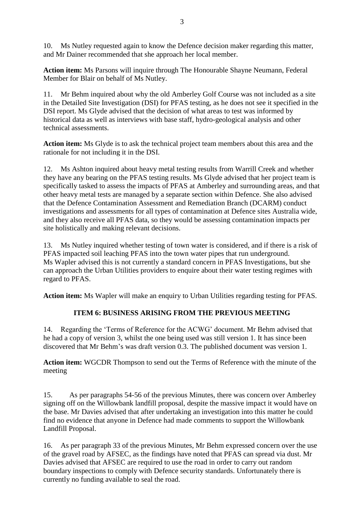10. Ms Nutley requested again to know the Defence decision maker regarding this matter, and Mr Dainer recommended that she approach her local member.

**Action item:** Ms Parsons will inquire through The Honourable Shayne Neumann, Federal Member for Blair on behalf of Ms Nutley.

11. Mr Behm inquired about why the old Amberley Golf Course was not included as a site in the Detailed Site Investigation (DSI) for PFAS testing, as he does not see it specified in the DSI report. Ms Glyde advised that the decision of what areas to test was informed by historical data as well as interviews with base staff, hydro-geological analysis and other technical assessments.

**Action item:** Ms Glyde is to ask the technical project team members about this area and the rationale for not including it in the DSI.

12. Ms Ashton inquired about heavy metal testing results from Warrill Creek and whether they have any bearing on the PFAS testing results. Ms Glyde advised that her project team is specifically tasked to assess the impacts of PFAS at Amberley and surrounding areas, and that other heavy metal tests are managed by a separate section within Defence. She also advised that the Defence Contamination Assessment and Remediation Branch (DCARM) conduct investigations and assessments for all types of contamination at Defence sites Australia wide, and they also receive all PFAS data, so they would be assessing contamination impacts per site holistically and making relevant decisions.

13. Ms Nutley inquired whether testing of town water is considered, and if there is a risk of PFAS impacted soil leaching PFAS into the town water pipes that run underground. Ms Wapler advised this is not currently a standard concern in PFAS Investigations, but she can approach the Urban Utilities providers to enquire about their water testing regimes with regard to PFAS.

**Action item:** Ms Wapler will make an enquiry to Urban Utilities regarding testing for PFAS.

# **ITEM 6: BUSINESS ARISING FROM THE PREVIOUS MEETING**

14. Regarding the 'Terms of Reference for the ACWG' document. Mr Behm advised that he had a copy of version 3, whilst the one being used was still version 1. It has since been discovered that Mr Behm's was draft version 0.3. The published document was version 1.

**Action item:** WGCDR Thompson to send out the Terms of Reference with the minute of the meeting

15. As per paragraphs 54-56 of the previous Minutes, there was concern over Amberley signing off on the Willowbank landfill proposal, despite the massive impact it would have on the base. Mr Davies advised that after undertaking an investigation into this matter he could find no evidence that anyone in Defence had made comments to support the Willowbank Landfill Proposal.

16. As per paragraph 33 of the previous Minutes, Mr Behm expressed concern over the use of the gravel road by AFSEC, as the findings have noted that PFAS can spread via dust. Mr Davies advised that AFSEC are required to use the road in order to carry out random boundary inspections to comply with Defence security standards. Unfortunately there is currently no funding available to seal the road.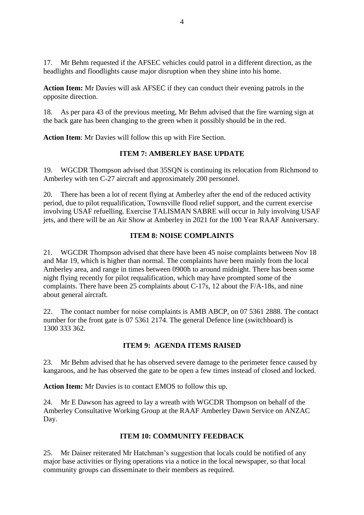17. Mr Behm requested if the AFSEC vehicles could patrol in a different direction, as the headlights and floodlights cause major disruption when they shine into his home.

**Action Item:** Mr Davies will ask AFSEC if they can conduct their evening patrols in the opposite direction.

18. As per para 43 of the previous meeting, Mr Behm advised that the fire warning sign at the back gate has been changing to the green when it possibly should be in the red.

**Action Item**: Mr Davies will follow this up with Fire Section.

## **ITEM 7: AMBERLEY BASE UPDATE**

19. WGCDR Thompson advised that 35SQN is continuing its relocation from Richmond to Amberley with ten C-27 aircraft and approximately 200 personnel.

20. There has been a lot of recent flying at Amberley after the end of the reduced activity period, due to pilot requalification, Townsville flood relief support, and the current exercise involving USAF refuelling. Exercise TALISMAN SABRE will occur in July involving USAF jets, and there will be an Air Show at Amberley in 2021 for the 100 Year RAAF Anniversary.

# **ITEM 8: NOISE COMPLAINTS**

21. WGCDR Thompson advised that there have been 45 noise complaints between Nov 18 and Mar 19, which is higher than normal. The complaints have been mainly from the local Amberley area, and range in times between 0900h to around midnight. There has been some night flying recently for pilot requalification, which may have prompted some of the complaints. There have been 25 complaints about C-17s, 12 about the F/A-18s, and nine about general aircraft.

22. The contact number for noise complaints is AMB ABCP, on 07 5361 2888. The contact number for the front gate is 07 5361 2174. The general Defence line (switchboard) is 1300 333 362.

#### **ITEM 9: AGENDA ITEMS RAISED**

23. Mr Behm advised that he has observed severe damage to the perimeter fence caused by kangaroos, and he has observed the gate to be open a few times instead of closed and locked.

**Action Item:** Mr Davies is to contact EMOS to follow this up.

24. Mr E Dawson has agreed to lay a wreath with WGCDR Thompson on behalf of the Amberley Consultative Working Group at the RAAF Amberley Dawn Service on ANZAC Day.

# **ITEM 10: COMMUNITY FEEDBACK**

25. Mr Dainer reiterated Mr Hatchman's suggestion that locals could be notified of any major base activities or flying operations via a notice in the local newspaper, so that local community groups can disseminate to their members as required.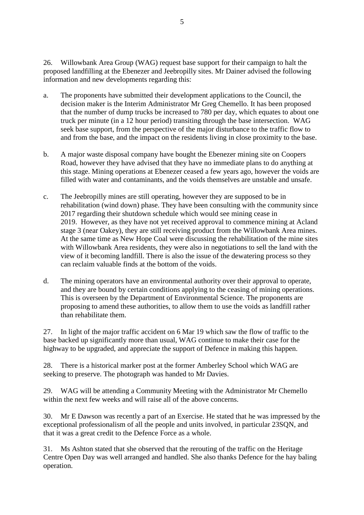26. Willowbank Area Group (WAG) request base support for their campaign to halt the proposed landfilling at the Ebenezer and Jeebropilly sites. Mr Dainer advised the following information and new developments regarding this:

- a. The proponents have submitted their development applications to the Council, the decision maker is the Interim Administrator Mr Greg Chemello. It has been proposed that the number of dump trucks be increased to 780 per day, which equates to about one truck per minute (in a 12 hour period) transiting through the base intersection. WAG seek base support, from the perspective of the major disturbance to the traffic flow to and from the base, and the impact on the residents living in close proximity to the base.
- b. A major waste disposal company have bought the Ebenezer mining site on Coopers Road, however they have advised that they have no immediate plans to do anything at this stage. Mining operations at Ebenezer ceased a few years ago, however the voids are filled with water and contaminants, and the voids themselves are unstable and unsafe.
- c. The Jeebropilly mines are still operating, however they are supposed to be in rehabilitation (wind down) phase. They have been consulting with the community since 2017 regarding their shutdown schedule which would see mining cease in 2019. However, as they have not yet received approval to commence mining at Acland stage 3 (near Oakey), they are still receiving product from the Willowbank Area mines. At the same time as New Hope Coal were discussing the rehabilitation of the mine sites with Willowbank Area residents, they were also in negotiations to sell the land with the view of it becoming landfill. There is also the issue of the dewatering process so they can reclaim valuable finds at the bottom of the voids.
- d. The mining operators have an environmental authority over their approval to operate, and they are bound by certain conditions applying to the ceasing of mining operations. This is overseen by the Department of Environmental Science. The proponents are proposing to amend these authorities, to allow them to use the voids as landfill rather than rehabilitate them.

27. In light of the major traffic accident on 6 Mar 19 which saw the flow of traffic to the base backed up significantly more than usual, WAG continue to make their case for the highway to be upgraded, and appreciate the support of Defence in making this happen.

28. There is a historical marker post at the former Amberley School which WAG are seeking to preserve. The photograph was handed to Mr Davies.

29. WAG will be attending a Community Meeting with the Administrator Mr Chemello within the next few weeks and will raise all of the above concerns.

30. Mr E Dawson was recently a part of an Exercise. He stated that he was impressed by the exceptional professionalism of all the people and units involved, in particular 23SQN, and that it was a great credit to the Defence Force as a whole.

31. Ms Ashton stated that she observed that the rerouting of the traffic on the Heritage Centre Open Day was well arranged and handled. She also thanks Defence for the hay baling operation.